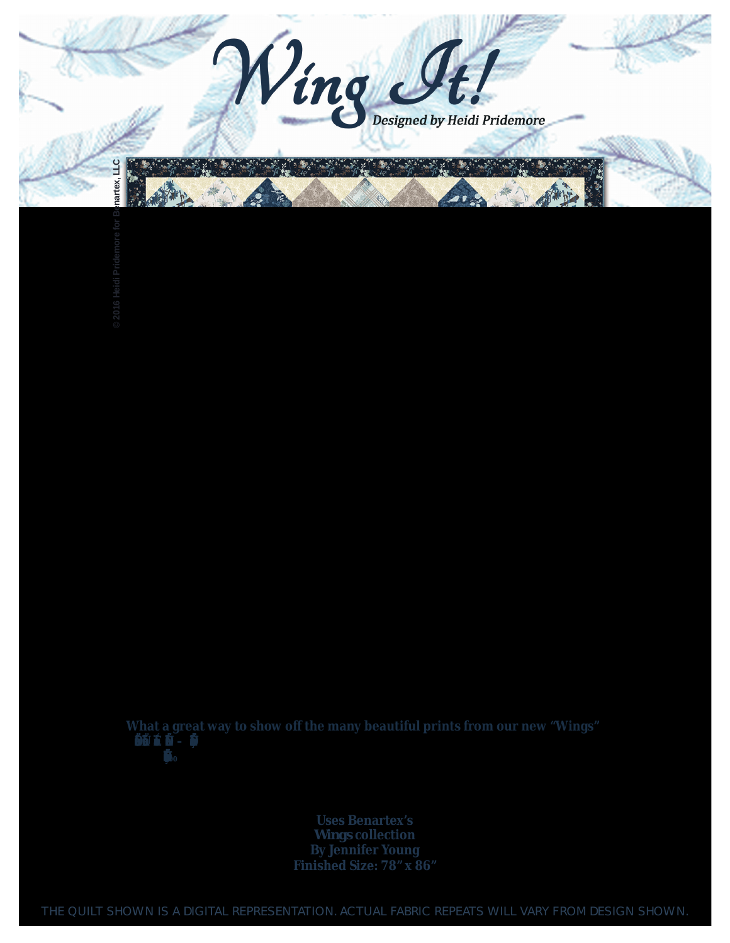© 2016 Heidi Pridemore for Benartex, LLC

What a great way to show off the many beautiful prints from our new "Wings" 模様  $10^{10}$ 

> **Uses Benartex's** Wings collection<br>By Jennifer Young<br>Finished Size: 78" x 86"

THE QUILT SHOWN IS A DIGITAL REPRESENTATION. ACTUAL FABRIC REPEATS WILL VARY FROM DESIGN SHOWN.